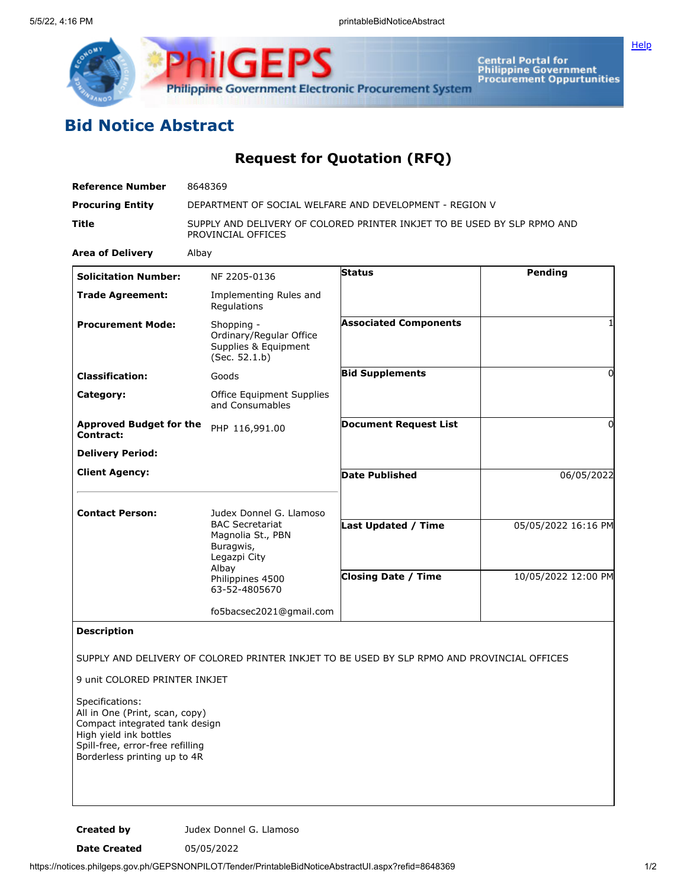



**Central Portal for<br>Philippine Government<br>Procurement Oppurtunities** 

## **Bid Notice Abstract**

## **Request for Quotation (RFQ)**

| <b>Reference Number</b>                                                                                                                                                            | 8648369                                                                                             |                              |                     |
|------------------------------------------------------------------------------------------------------------------------------------------------------------------------------------|-----------------------------------------------------------------------------------------------------|------------------------------|---------------------|
| <b>Procuring Entity</b>                                                                                                                                                            | DEPARTMENT OF SOCIAL WELFARE AND DEVELOPMENT - REGION V                                             |                              |                     |
| Title                                                                                                                                                                              | SUPPLY AND DELIVERY OF COLORED PRINTER INKJET TO BE USED BY SLP RPMO AND<br>PROVINCIAL OFFICES      |                              |                     |
| <b>Area of Delivery</b>                                                                                                                                                            | Albay                                                                                               |                              |                     |
| <b>Solicitation Number:</b>                                                                                                                                                        | NF 2205-0136                                                                                        | <b>Status</b>                | <b>Pending</b>      |
| <b>Trade Agreement:</b>                                                                                                                                                            | Implementing Rules and<br>Regulations                                                               |                              |                     |
| <b>Procurement Mode:</b>                                                                                                                                                           | Shopping -<br>Ordinary/Regular Office<br>Supplies & Equipment<br>(Sec. 52.1.b)                      | <b>Associated Components</b> |                     |
| <b>Classification:</b>                                                                                                                                                             | Goods                                                                                               | <b>Bid Supplements</b>       | $\Omega$            |
| Category:                                                                                                                                                                          | Office Equipment Supplies<br>and Consumables                                                        |                              |                     |
| <b>Approved Budget for the</b><br>Contract:                                                                                                                                        | PHP 116,991.00                                                                                      | <b>Document Request List</b> | 0                   |
| <b>Delivery Period:</b>                                                                                                                                                            |                                                                                                     |                              |                     |
| <b>Client Agency:</b>                                                                                                                                                              |                                                                                                     | <b>Date Published</b>        | 06/05/2022          |
| <b>Contact Person:</b>                                                                                                                                                             | Judex Donnel G. Llamoso<br><b>BAC Secretariat</b><br>Magnolia St., PBN<br>Buragwis,<br>Legazpi City | Last Updated / Time          | 05/05/2022 16:16 PM |
|                                                                                                                                                                                    | Albay<br>Philippines 4500<br>63-52-4805670                                                          | <b>Closing Date / Time</b>   | 10/05/2022 12:00 PM |
|                                                                                                                                                                                    | fo5bacsec2021@gmail.com                                                                             |                              |                     |
| <b>Description</b>                                                                                                                                                                 |                                                                                                     |                              |                     |
| 9 unit COLORED PRINTER INKJET<br>Specifications:<br>All in One (Print, scan, copy)<br>Compact integrated tank design<br>High yield ink bottles<br>Spill-free, error-free refilling | SUPPLY AND DELIVERY OF COLORED PRINTER INKJET TO BE USED BY SLP RPMO AND PROVINCIAL OFFICES         |                              |                     |
| Borderless printing up to 4R                                                                                                                                                       |                                                                                                     |                              |                     |

**Created by** Judex Donnel G. Llamoso

**Date Created** 05/05/2022